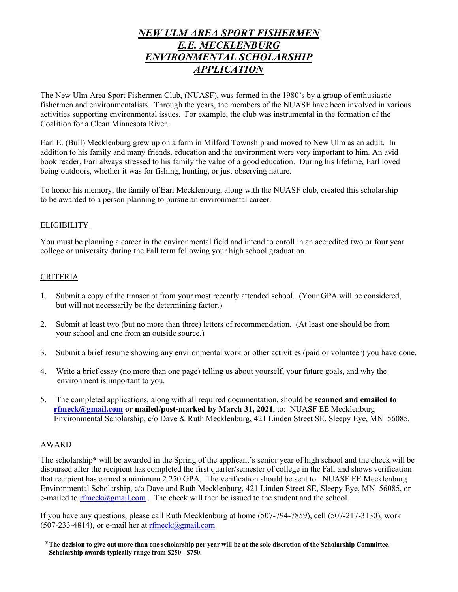## *NEW ULM AREA SPORT FISHERMEN E.E. MECKLENBURG ENVIRONMENTAL SCHOLARSHIP APPLICATION*

The New Ulm Area Sport Fishermen Club, (NUASF), was formed in the 1980's by a group of enthusiastic fishermen and environmentalists. Through the years, the members of the NUASF have been involved in various activities supporting environmental issues. For example, the club was instrumental in the formation of the Coalition for a Clean Minnesota River.

Earl E. (Bull) Mecklenburg grew up on a farm in Milford Township and moved to New Ulm as an adult. In addition to his family and many friends, education and the environment were very important to him. An avid book reader, Earl always stressed to his family the value of a good education. During his lifetime, Earl loved being outdoors, whether it was for fishing, hunting, or just observing nature.

To honor his memory, the family of Earl Mecklenburg, along with the NUASF club, created this scholarship to be awarded to a person planning to pursue an environmental career.

## **ELIGIBILITY**

You must be planning a career in the environmental field and intend to enroll in an accredited two or four year college or university during the Fall term following your high school graduation.

## CRITERIA

- 1. Submit a copy of the transcript from your most recently attended school. (Your GPA will be considered, but will not necessarily be the determining factor.)
- 2. Submit at least two (but no more than three) letters of recommendation. (At least one should be from your school and one from an outside source.)
- 3. Submit a brief resume showing any environmental work or other activities (paid or volunteer) you have done.
- 4. Write a brief essay (no more than one page) telling us about yourself, your future goals, and why the environment is important to you.
- 5. The completed applications, along with all required documentation, should be **scanned and emailed to rfmeck@gmail.com or mailed/post-marked by March 31, 2021**, to: NUASF EE Mecklenburg Environmental Scholarship, c/o Dave & Ruth Mecklenburg, 421 Linden Street SE, Sleepy Eye, MN 56085.

## AWARD

The scholarship**\*** will be awarded in the Spring of the applicant's senior year of high school and the check will be disbursed after the recipient has completed the first quarter/semester of college in the Fall and shows verification that recipient has earned a minimum 2.250 GPA. The verification should be sent to: NUASF EE Mecklenburg Environmental Scholarship, c/o Dave and Ruth Mecklenburg, 421 Linden Street SE, Sleepy Eye, MN 56085, or e-mailed to rfmeck@gmail.com. The check will then be issued to the student and the school.

If you have any questions, please call Ruth Mecklenburg at home (507-794-7859), cell (507-217-3130), work  $(507-233-4814)$ , or e-mail her at rfmeck@gmail.com

 \***The decision to give out more than one scholarship per year will be at the sole discretion of the Scholarship Committee. Scholarship awards typically range from \$250 - \$750.**